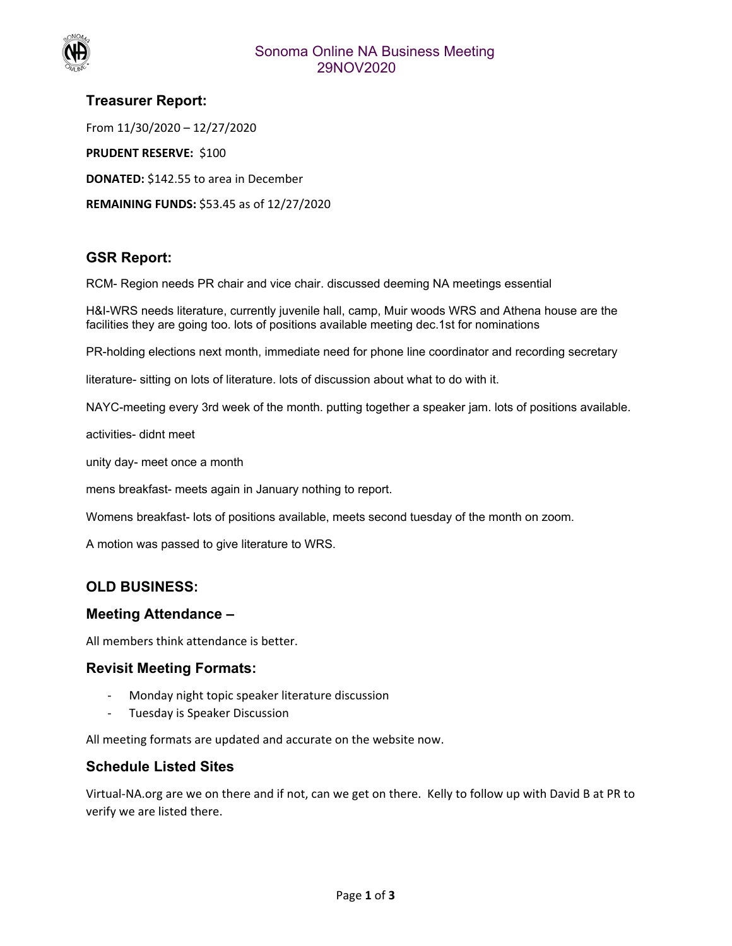

# **Treasurer Report:**  From 11/30/2020 – 12/27/2020 **PRUDENT RESERVE: \$100 DONATED:** \$142.55 to area in December

**REMAINING FUNDS:** \$53.45 as of 12/27/2020

# **GSR Report:**

RCM- Region needs PR chair and vice chair. discussed deeming NA meetings essential

H&I-WRS needs literature, currently juvenile hall, camp, Muir woods WRS and Athena house are the facilities they are going too. lots of positions available meeting dec.1st for nominations

PR-holding elections next month, immediate need for phone line coordinator and recording secretary

literature- sitting on lots of literature. lots of discussion about what to do with it.

NAYC-meeting every 3rd week of the month. putting together a speaker jam. lots of positions available.

activities- didnt meet

unity day- meet once a month

mens breakfast- meets again in January nothing to report.

Womens breakfast- lots of positions available, meets second tuesday of the month on zoom.

A motion was passed to give literature to WRS.

# **OLD BUSINESS:**

## **Meeting Attendance –**

All members think attendance is better.

## **Revisit Meeting Formats:**

- ‐ Monday night topic speaker literature discussion
- ‐ Tuesday is Speaker Discussion

All meeting formats are updated and accurate on the website now.

# **Schedule Listed Sites**

Virtual‐NA.org are we on there and if not, can we get on there. Kelly to follow up with David B at PR to verify we are listed there.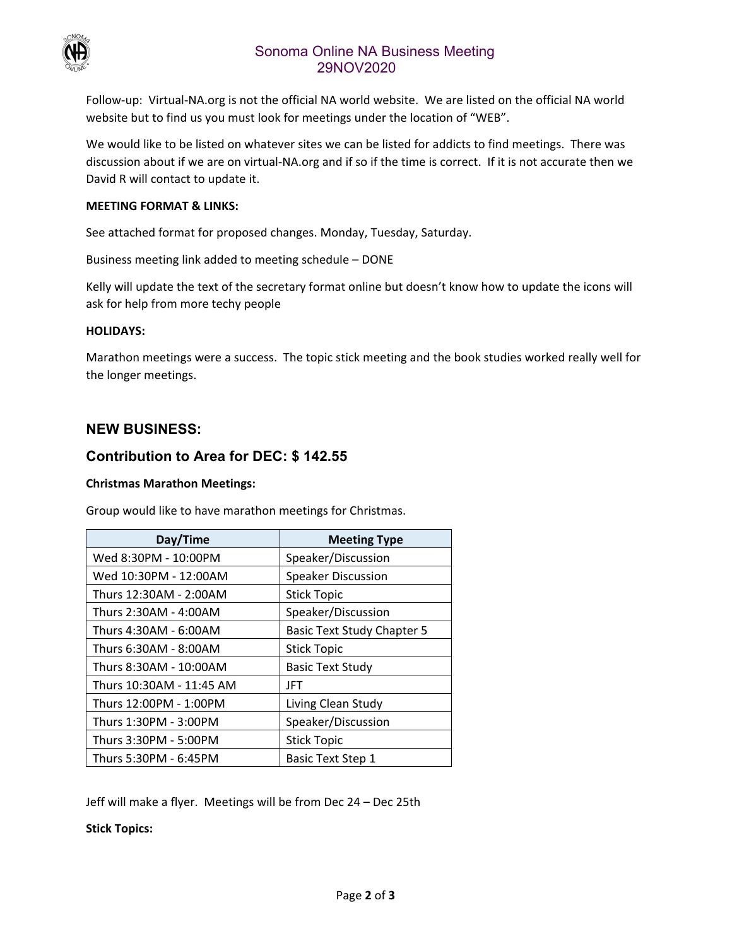

# Sonoma Online NA Business Meeting 29NOV2020

Follow-up: Virtual-NA.org is not the official NA world website. We are listed on the official NA world website but to find us you must look for meetings under the location of "WEB".

We would like to be listed on whatever sites we can be listed for addicts to find meetings. There was discussion about if we are on virtual‐NA.org and if so if the time is correct. If it is not accurate then we David R will contact to update it.

## **MEETING FORMAT & LINKS:**

See attached format for proposed changes. Monday, Tuesday, Saturday.

Business meeting link added to meeting schedule – DONE

Kelly will update the text of the secretary format online but doesn't know how to update the icons will ask for help from more techy people

#### **HOLIDAYS:**

Marathon meetings were a success. The topic stick meeting and the book studies worked really well for the longer meetings.

## **NEW BUSINESS:**

## **Contribution to Area for DEC: \$ 142.55**

#### **Christmas Marathon Meetings:**

Group would like to have marathon meetings for Christmas.

| Day/Time                 | <b>Meeting Type</b>               |
|--------------------------|-----------------------------------|
| Wed 8:30PM - 10:00PM     | Speaker/Discussion                |
| Wed 10:30PM - 12:00AM    | <b>Speaker Discussion</b>         |
| Thurs 12:30AM - 2:00AM   | <b>Stick Topic</b>                |
| Thurs 2:30AM - 4:00AM    | Speaker/Discussion                |
| Thurs 4:30AM - 6:00AM    | <b>Basic Text Study Chapter 5</b> |
| Thurs 6:30AM - 8:00AM    | <b>Stick Topic</b>                |
| Thurs 8:30AM - 10:00AM   | <b>Basic Text Study</b>           |
| Thurs 10:30AM - 11:45 AM | JFT                               |
| Thurs 12:00PM - 1:00PM   | Living Clean Study                |
| Thurs 1:30PM - 3:00PM    | Speaker/Discussion                |
| Thurs 3:30PM - 5:00PM    | <b>Stick Topic</b>                |
| Thurs 5:30PM - 6:45PM    | <b>Basic Text Step 1</b>          |

Jeff will make a flyer. Meetings will be from Dec 24 – Dec 25th

**Stick Topics:**